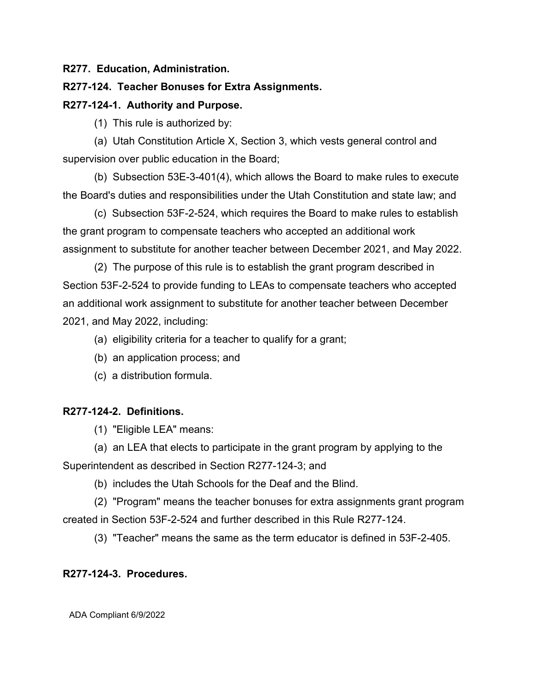**R277. Education, Administration.**

## **R277-124. Teacher Bonuses for Extra Assignments.**

## **R277-124-1. Authority and Purpose.**

(1) This rule is authorized by:

(a) Utah Constitution Article X, Section 3, which vests general control and supervision over public education in the Board;

(b) Subsection 53E-3-401(4), which allows the Board to make rules to execute the Board's duties and responsibilities under the Utah Constitution and state law; and

(c) Subsection 53F-2-524, which requires the Board to make rules to establish the grant program to compensate teachers who accepted an additional work assignment to substitute for another teacher between December 2021, and May 2022.

(2) The purpose of this rule is to establish the grant program described in Section 53F-2-524 to provide funding to LEAs to compensate teachers who accepted an additional work assignment to substitute for another teacher between December 2021, and May 2022, including:

- (a) eligibility criteria for a teacher to qualify for a grant;
- (b) an application process; and
- (c) a distribution formula.

## **R277-124-2. Definitions.**

(1) "Eligible LEA" means:

(a) an LEA that elects to participate in the grant program by applying to the Superintendent as described in Section R277-124-3; and

(b) includes the Utah Schools for the Deaf and the Blind.

(2) "Program" means the teacher bonuses for extra assignments grant program created in Section 53F-2-524 and further described in this Rule R277-124.

(3) "Teacher" means the same as the term educator is defined in 53F-2-405.

## **R277-124-3. Procedures.**

ADA Compliant 6/9/2022